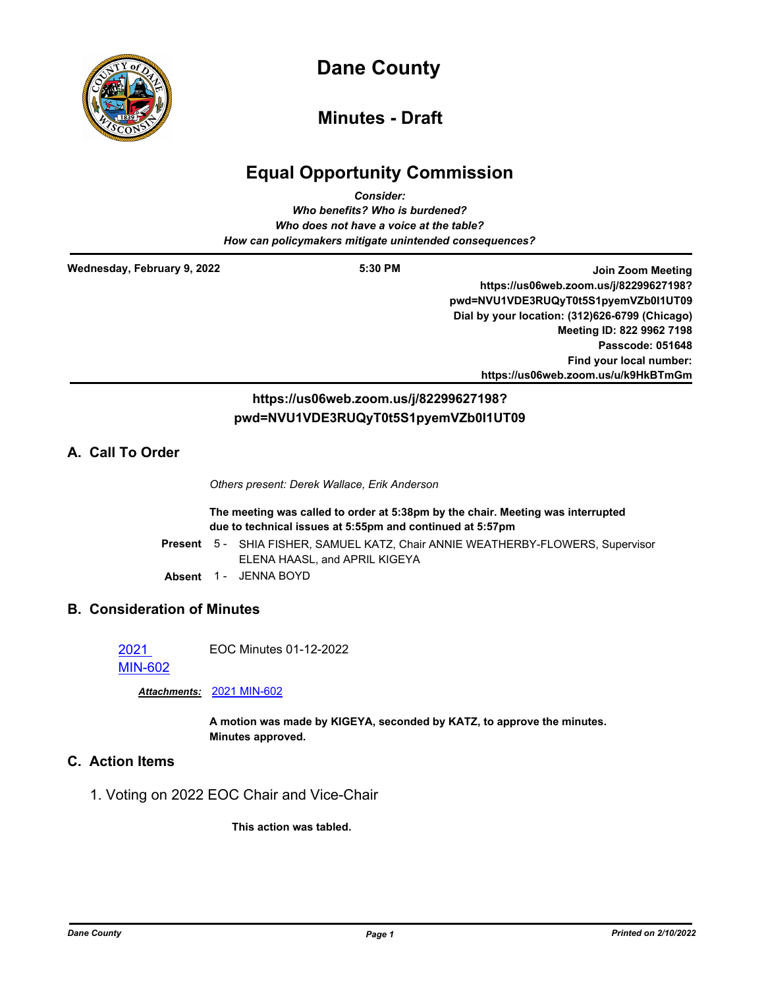

## **Dane County**

## **Minutes - Draft**

## **Equal Opportunity Commission**

| <b>Consider:</b><br>Who benefits? Who is burdened?<br>Who does not have a voice at the table?<br>How can policymakers mitigate unintended consequences? |                                        |                                                                                                                                                                                    |
|---------------------------------------------------------------------------------------------------------------------------------------------------------|----------------------------------------|------------------------------------------------------------------------------------------------------------------------------------------------------------------------------------|
| Wednesday, February 9, 2022                                                                                                                             | $5:30$ PM                              | Join Zoom Meeting<br>https://us06web.zoom.us/j/82299627198?<br>pwd=NVU1VDE3RUQyT0t5S1pyemVZb0l1UT09<br>Dial by your location: (312)626-6799 (Chicago)<br>Meeting ID: 822 9962 7198 |
|                                                                                                                                                         |                                        | Passcode: 051648<br>Find your local number:<br>https://us06web.zoom.us/u/k9HkBTmGm                                                                                                 |
|                                                                                                                                                         | https://us06web.zoom.us/j/82299627198? |                                                                                                                                                                                    |

# **pwd=NVU1VDE3RUQyT0t5S1pyemVZb0I1UT09**

## **A. Call To Order**

*Others present: Derek Wallace, Erik Anderson*

**The meeting was called to order at 5:38pm by the chair. Meeting was interrupted due to technical issues at 5:55pm and continued at 5:57pm**

- Present 5 SHIA FISHER, SAMUEL KATZ, Chair ANNIE WEATHERBY-FLOWERS, Supervisor ELENA HAASL, and APRIL KIGEYA
- Absent 1 JENNA BOYD

### **B. Consideration of Minutes**

2021 EOC Minutes 01-12-2022

[MIN-602](http://dane.legistar.com/gateway.aspx?m=l&id=/matter.aspx?key=22210)

*Attachments:* [2021 MIN-602](http://dane.legistar.com/gateway.aspx?M=F&ID=eb25b494-d28b-4e5a-851c-e5ea54f518b0.pdf)

**A motion was made by KIGEYA, seconded by KATZ, to approve the minutes. Minutes approved.**

## **C. Action Items**

1. Voting on 2022 EOC Chair and Vice-Chair

**This action was tabled.**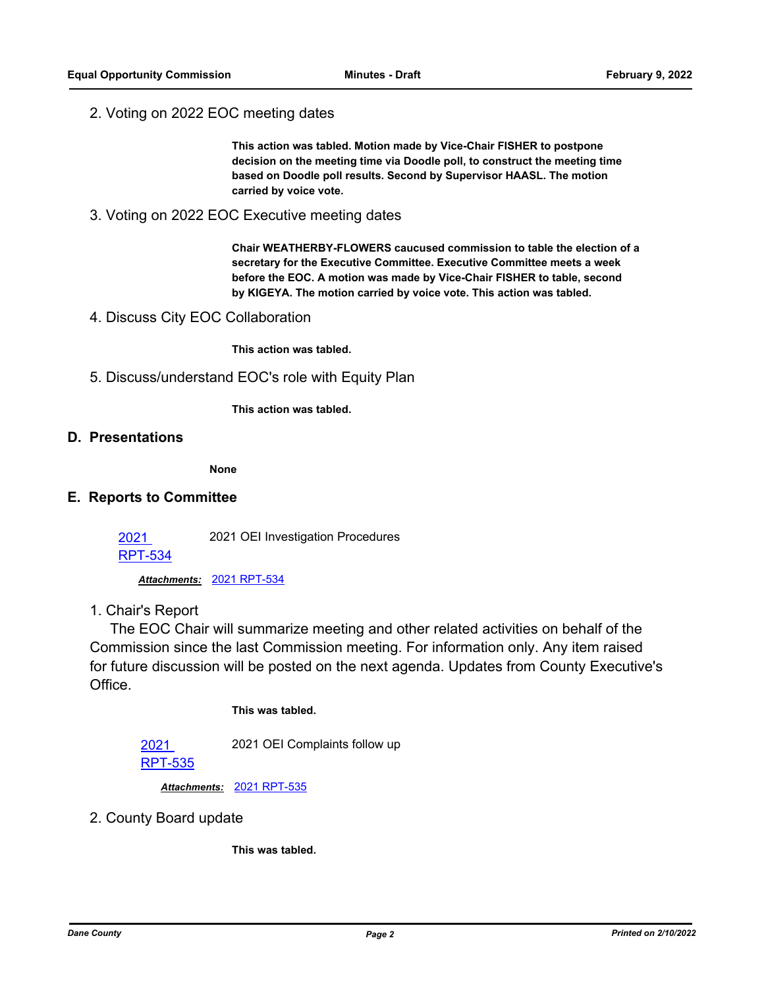2. Voting on 2022 EOC meeting dates

**This action was tabled. Motion made by Vice-Chair FISHER to postpone decision on the meeting time via Doodle poll, to construct the meeting time based on Doodle poll results. Second by Supervisor HAASL. The motion carried by voice vote.**

3. Voting on 2022 EOC Executive meeting dates

**Chair WEATHERBY-FLOWERS caucused commission to table the election of a secretary for the Executive Committee. Executive Committee meets a week before the EOC. A motion was made by Vice-Chair FISHER to table, second by KIGEYA. The motion carried by voice vote. This action was tabled.**

4. Discuss City EOC Collaboration

**This action was tabled.**

5. Discuss/understand EOC's role with Equity Plan

**This action was tabled.**

#### **D. Presentations**

**None**

#### **E. Reports to Committee**

2021 OEI Investigation Procedures

[RPT-534](http://dane.legistar.com/gateway.aspx?m=l&id=/matter.aspx?key=21301)

2021

*Attachments:* [2021 RPT-534](http://dane.legistar.com/gateway.aspx?M=F&ID=9179c0ce-6851-4286-ab5e-506b568191be.pdf)

1. Chair's Report

 The EOC Chair will summarize meeting and other related activities on behalf of the Commission since the last Commission meeting. For information only. Any item raised for future discussion will be posted on the next agenda. Updates from County Executive's Office.

#### **This was tabled.**

2021 OEI Complaints follow up

[RPT-535](http://dane.legistar.com/gateway.aspx?m=l&id=/matter.aspx?key=21302)

2021

*Attachments:* [2021 RPT-535](http://dane.legistar.com/gateway.aspx?M=F&ID=d9984b09-bd5b-4acf-ac0f-19d6f8661eba.pdf)

2. County Board update

**This was tabled.**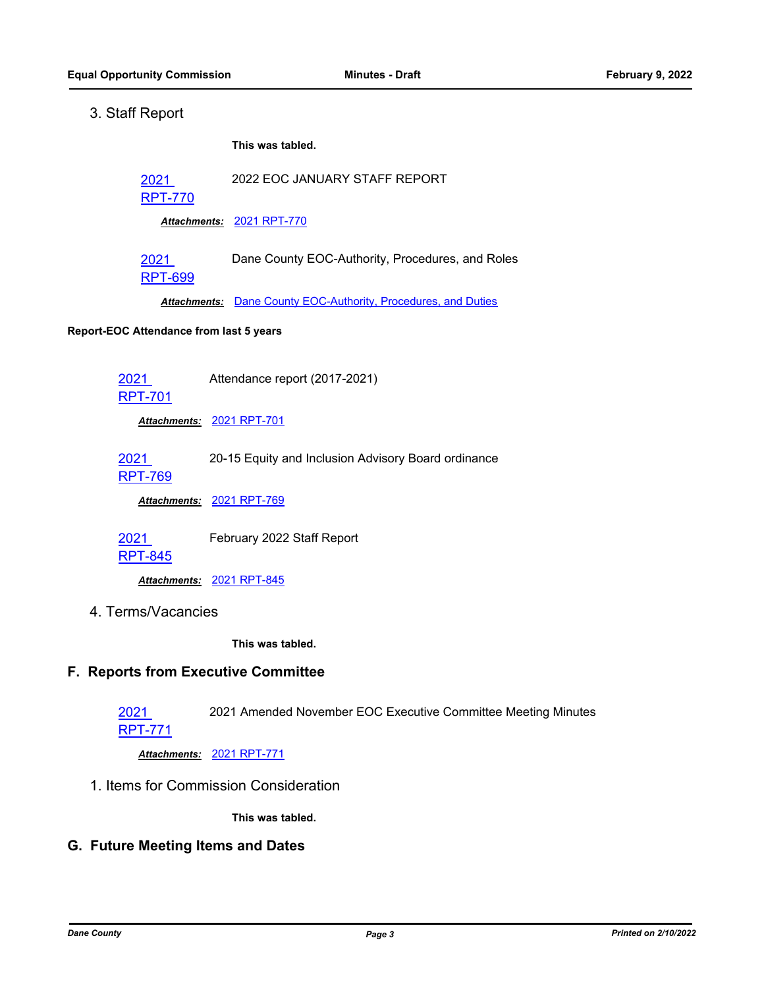### 3. Staff Report

**This was tabled.**

```
2021 
 2022 EOC JANUARY STAFF REPORT
```
[RPT-770](http://dane.legistar.com/gateway.aspx?m=l&id=/matter.aspx?key=21980)

*Attachments:* [2021 RPT-770](http://dane.legistar.com/gateway.aspx?M=F&ID=0022aef8-704b-48a3-94df-7ec8416f1332.pdf)

2021 [RPT-699](http://dane.legistar.com/gateway.aspx?m=l&id=/matter.aspx?key=21759) Dane County EOC-Authority, Procedures, and Roles

*Attachments:* [Dane County EOC-Authority, Procedures, and Duties](http://dane.legistar.com/gateway.aspx?M=F&ID=0de3d667-6d10-4567-a1ce-0f0d90e0f99a.pdf)

#### **Report-EOC Attendance from last 5 years**

2021 Attendance report (2017-2021)

[RPT-701](http://dane.legistar.com/gateway.aspx?m=l&id=/matter.aspx?key=21761)

*Attachments:* [2021 RPT-701](http://dane.legistar.com/gateway.aspx?M=F&ID=f878f7b1-e871-4394-9404-2eceb98a211c.pdf)

[RPT-769](http://dane.legistar.com/gateway.aspx?m=l&id=/matter.aspx?key=21979)

*Attachments:* [2021 RPT-769](http://dane.legistar.com/gateway.aspx?M=F&ID=aa63bcff-0bee-4024-b015-248af59483b0.pdf)

2021 February 2022 Staff Report

[RPT-845](http://dane.legistar.com/gateway.aspx?m=l&id=/matter.aspx?key=22208)

*Attachments:* [2021 RPT-845](http://dane.legistar.com/gateway.aspx?M=F&ID=87c5d25b-d6f8-4280-90fc-2b9e14e0158a.pdf)

4. Terms/Vacancies

**This was tabled.**

#### **F. Reports from Executive Committee**

2021 2021 Amended November EOC Executive Committee Meeting Minutes

[RPT-771](http://dane.legistar.com/gateway.aspx?m=l&id=/matter.aspx?key=21981)

*Attachments:* [2021 RPT-771](http://dane.legistar.com/gateway.aspx?M=F&ID=f0b1b162-90b0-4758-af2b-6b7c518e071e.pdf)

1. Items for Commission Consideration

**This was tabled.**

#### **G. Future Meeting Items and Dates**